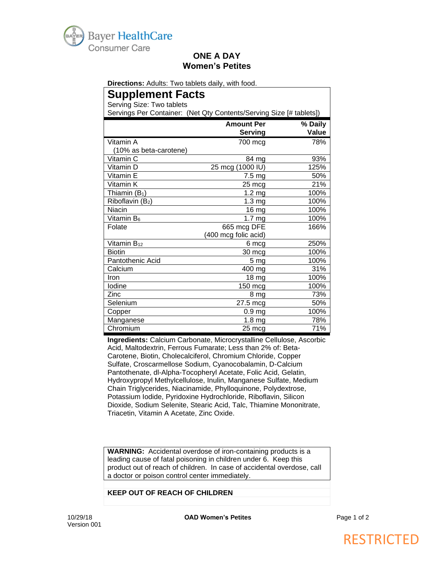

### **ONE A DAY Women's Petites**

**Directions:** Adults: Two tablets daily, with food.

# **Supplement Facts**

Serving Size: Two tablets

Servings Per Container: (Net Qty Contents/Serving Size [# tablets])

|                        | <b>Amount Per</b>    | % Daily |
|------------------------|----------------------|---------|
|                        | <b>Serving</b>       | Value   |
| Vitamin A              | 700 mcg              | 78%     |
| (10% as beta-carotene) |                      |         |
| Vitamin C              | 84 mg                | 93%     |
| Vitamin D              | 25 mcg (1000 IU)     | 125%    |
| Vitamin E              | 7.5 mg               | 50%     |
| Vitamin K              | 25 mcg               | 21%     |
| Thiamin $(B_1)$        | 1.2 <sub>mg</sub>    | 100%    |
| Riboflavin (B2)        | 1.3 <sub>mg</sub>    | 100%    |
| Niacin                 | 16 mg                | 100%    |
| Vitamin B <sub>6</sub> | $\overline{1}$ .7 mg | 100%    |
| Folate                 | 665 mcg DFE          | 166%    |
|                        | (400 mcg folic acid) |         |
| Vitamin $B_{12}$       | 6 mcg                | 250%    |
| <b>Biotin</b>          | 30 mcg               | 100%    |
| Pantothenic Acid       | 5 <sub>mg</sub>      | 100%    |
| Calcium                | 400 mg               | 31%     |
| Iron                   | 18 <sub>mg</sub>     | 100%    |
| lodine                 | 150 mcg              | 100%    |
| Zinc                   | 8 mg                 | 73%     |
| Selenium               | 27.5 mcg             | 50%     |
| Copper                 | 0.9 <sub>mg</sub>    | 100%    |
| Manganese              | 1.8 <sub>mg</sub>    | 78%     |
| Chromium               | 25 mcg               | 71%     |

**Ingredients:** Calcium Carbonate, Microcrystalline Cellulose, Ascorbic Acid, Maltodextrin, Ferrous Fumarate; Less than 2% of: Beta-Carotene, Biotin, Cholecalciferol, Chromium Chloride, Copper Sulfate, Croscarmellose Sodium, Cyanocobalamin, D-Calcium Pantothenate, dl-Alpha-Tocopheryl Acetate, Folic Acid, Gelatin, Hydroxypropyl Methylcellulose, Inulin, Manganese Sulfate, Medium Chain Triglycerides, Niacinamide, Phylloquinone, Polydextrose, Potassium Iodide, Pyridoxine Hydrochloride, Riboflavin, Silicon Dioxide, Sodium Selenite, Stearic Acid, Talc, Thiamine Mononitrate, Triacetin, Vitamin A Acetate, Zinc Oxide.

**WARNING:** Accidental overdose of iron-containing products is a leading cause of fatal poisoning in children under 6. Keep this product out of reach of children. In case of accidental overdose, call a doctor or poison control center immediately.

#### **KEEP OUT OF REACH OF CHILDREN**

# RESTRICTED